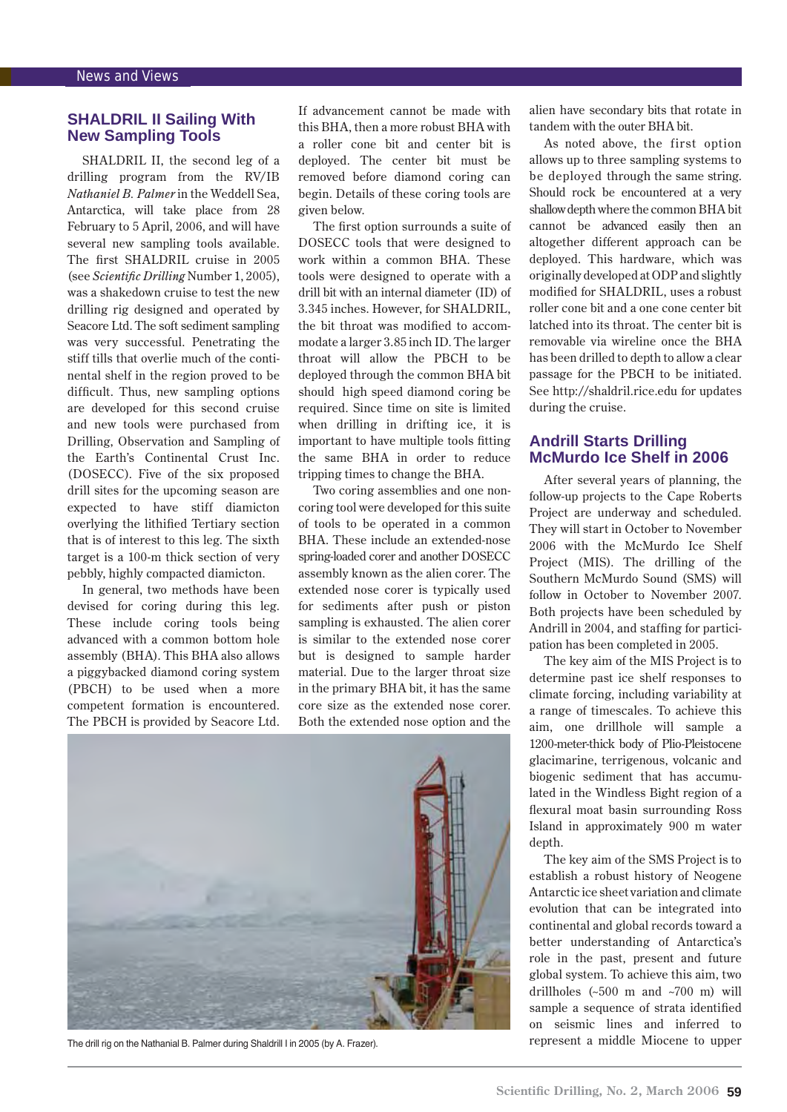# **SHALDRIL II Sailing With New Sampling Tools**

SHALDRIL II, the second leg of a drilling program from the RV/IB *Nathaniel B. Palmer* in the Weddell Sea, Antarctica, will take place from 28 February to 5 April, 2006, and will have several new sampling tools available. The first SHALDRIL cruise in 2005 (see *Scientific Drilling* Number 1, 2005), was a shakedown cruise to test the new drilling rig designed and operated by Seacore Ltd. The soft sediment sampling was very successful. Penetrating the stiff tills that overlie much of the continental shelf in the region proved to be difficult. Thus, new sampling options are developed for this second cruise and new tools were purchased from Drilling, Observation and Sampling of the Earth's Continental Crust Inc. (DOSECC). Five of the six proposed drill sites for the upcoming season are expected to have stiff diamicton overlying the lithified Tertiary section that is of interest to this leg. The sixth target is a 100-m thick section of very pebbly, highly compacted diamicton.

In general, two methods have been devised for coring during this leg. These include coring tools being advanced with a common bottom hole assembly (BHA). This BHA also allows a piggybacked diamond coring system (PBCH) to be used when a more competent formation is encountered. The PBCH is provided by Seacore Ltd.

If advancement cannot be made with this BHA, then a more robust BHA with a roller cone bit and center bit is deployed. The center bit must be removed before diamond coring can begin. Details of these coring tools are given below.

The first option surrounds a suite of DOSECC tools that were designed to work within a common BHA. These tools were designed to operate with a drill bit with an internal diameter (ID) of 3.345 inches. However, for SHALDRIL, the bit throat was modified to accommodate a larger 3.85 inch ID. The larger throat will allow the PBCH to be deployed through the common BHA bit should high speed diamond coring be required. Since time on site is limited when drilling in drifting ice, it is important to have multiple tools fitting the same BHA in order to reduce tripping times to change the BHA.

Two coring assemblies and one noncoring tool were developed for this suite of tools to be operated in a common BHA. These include an extended-nose spring-loaded corer and another DOSECC assembly known as the alien corer. The extended nose corer is typically used for sediments after push or piston sampling is exhausted. The alien corer is similar to the extended nose corer but is designed to sample harder material. Due to the larger throat size in the primary BHA bit, it has the same core size as the extended nose corer. Both the extended nose option and the



The drill rig on the Nathanial B. Palmer during Shaldrill I in 2005 (by A. Frazer). represent a middle Miocene to upper

alien have secondary bits that rotate in tandem with the outer BHA bit.

As noted above, the first option allows up to three sampling systems to be deployed through the same string. Should rock be encountered at a very shallow depth where the common BHA bit cannot be advanced easily then an altogether different approach can be deployed. This hardware, which was originally developed at ODP and slightly modified for SHALDRIL, uses a robust roller cone bit and a one cone center bit latched into its throat. The center bit is removable via wireline once the BHA has been drilled to depth to allow a clear passage for the PBCH to be initiated. See [http://shaldril.rice.edu fo](http://shaldril.rice.edu)r updates during the cruise.

## **Andrill Starts Drilling McMurdo Ice Shelf in 2006**

After several years of planning, the follow-up projects to the Cape Roberts Project are underway and scheduled. They will start in October to November 2006 with the McMurdo Ice Shelf Project (MIS). The drilling of the Southern McMurdo Sound (SMS) will follow in October to November 2007. Both projects have been scheduled by Andrill in 2004, and staffing for participation has been completed in 2005.

The key aim of the MIS Project is to determine past ice shelf responses to climate forcing, including variability at a range of timescales. To achieve this aim, one drillhole will sample a 1200-meter-thick body of Plio-Pleistocene glacimarine, terrigenous, volcanic and biogenic sediment that has accumulated in the Windless Bight region of a flexural moat basin surrounding Ross Island in approximately 900 m water depth.

The key aim of the SMS Project is to establish a robust history of Neogene Antarctic ice sheet variation and climate evolution that can be integrated into continental and global records toward a better understanding of Antarctica's role in the past, present and future global system. To achieve this aim, two drillholes (~500 m and ~700 m) will sample a sequence of strata identified on seismic lines and inferred to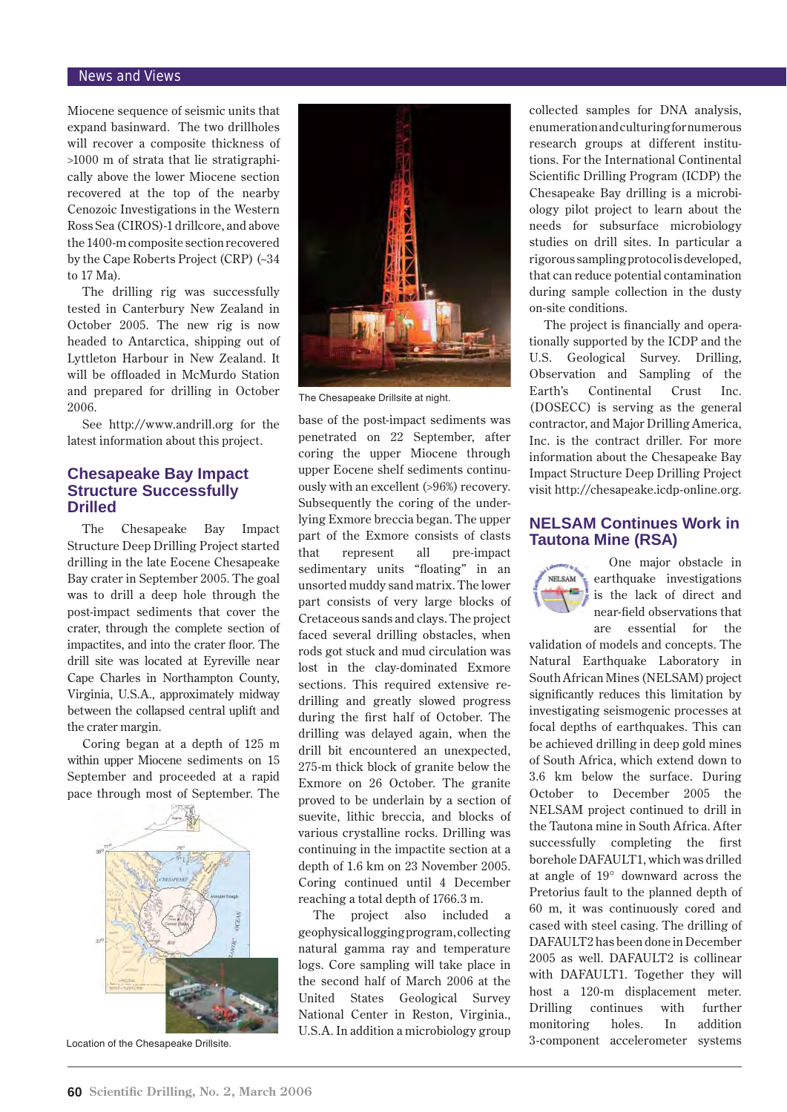#### News and Views

Miocene sequence of seismic units that expand basinward. The two drillholes will recover a composite thickness of >1000 m of strata that lie stratigraphically above the lower Miocene section recovered at the top of the nearby Cenozoic Investigations in the Western Ross Sea (CIROS)-1 drillcore, and above the 1400-m composite section recovered by the Cape Roberts Project (CRP) (~34 to 17 Ma).

The drilling rig was successfully tested in Canterbury New Zealand in October 2005. The new rig is now headed to Antarctica, shipping out of Lyttleton Harbour in New Zealand. It will be offloaded in McMurdo Station and prepared for drilling in October 2006.

See [http://www.andrill.org fo](http://www.andrill.org)r the latest information about this project.

## **Chesapeake Bay Impact Structure Successfully Drilled**

The Chesapeake Bay Impact Structure Deep Drilling Project started drilling in the late Eocene Chesapeake Bay crater in September 2005. The goal was to drill a deep hole through the post-impact sediments that cover the crater, through the complete section of impactites, and into the crater floor. The drill site was located at Eyreville near Cape Charles in Northampton County, Virginia, U.S.A., approximately midway between the collapsed central uplift and the crater margin.

Coring began at a depth of 125 m within upper Miocene sediments on 15 September and proceeded at a rapid pace through most of September. The



Location of the Chesapeake Drillsite.



The Chesapeake Drillsite at night.

base of the post-impact sediments was penetrated on 22 September, after coring the upper Miocene through upper Eocene shelf sediments continuously with an excellent (>96%) recovery. Subsequently the coring of the underlying Exmore breccia began. The upper part of the Exmore consists of clasts that represent all pre-impact sedimentary units "floating" in an unsorted muddy sand matrix. The lower part consists of very large blocks of Cretaceous sands and clays. The project faced several drilling obstacles, when rods got stuck and mud circulation was lost in the clay-dominated Exmore sections. This required extensive redrilling and greatly slowed progress during the first half of October. The drilling was delayed again, when the drill bit encountered an unexpected, 275-m thick block of granite below the Exmore on 26 October. The granite proved to be underlain by a section of suevite, lithic breccia, and blocks of various crystalline rocks. Drilling was continuing in the impactite section at a depth of 1.6 km on 23 November 2005. Coring continued until 4 December reaching a total depth of 1766.3 m.

The project also included geophysical logging program, collecting natural gamma ray and temperature logs. Core sampling will take place in the second half of March 2006 at the United States Geological Survey National Center in Reston, Virginia., U.S.A. In addition a microbiology group

collected samples for DNA analysis, enumeration and culturing for numerous research groups at different institutions. For the International Continental Scientific Drilling Program (ICDP) the Chesapeake Bay drilling is a microbiology pilot project to learn about the needs for subsurface microbiology studies on drill sites. In particular a rigorous sampling protocol is developed, that can reduce potential contamination during sample collection in the dusty on-site conditions.

The project is financially and operationally supported by the ICDP and the U.S. Geological Survey. Drilling, Observation and Sampling of the Earth's Continental Crust Inc. (DOSECC) is serving as the general contractor, and Major Drilling America, Inc. is the contract driller. For more information about the Chesapeake Bay Impact Structure Deep Drilling Project visit [http://chesapeake.icdp-online.org.](http://chesapeake.icdp-online.org)

## **NELSAM Continues Work in Tautona Mine (RSA)**

One major obstacle in NELSAM earthquake investigations is the lack of direct and near-field observations that are essential for the

validation of models and concepts. The Natural Earthquake Laboratory in South African Mines (NELSAM) project significantly reduces this limitation by investigating seismogenic processes at focal depths of earthquakes. This can be achieved drilling in deep gold mines of South Africa, which extend down to 3.6 km below the surface. During October to December 2005 the NELSAM project continued to drill in the Tautona mine in South Africa. After successfully completing the first borehole DAFAULT1, which was drilled at angle of 19° downward across the Pretorius fault to the planned depth of 60 m, it was continuously cored and cased with steel casing. The drilling of DAFAULT2 has been done in December 2005 as well. DAFAULT2 is collinear with DAFAULT1. Together they will host a 120-m displacement meter. Drilling continues with further monitoring holes. In addition 3-component accelerometer systems